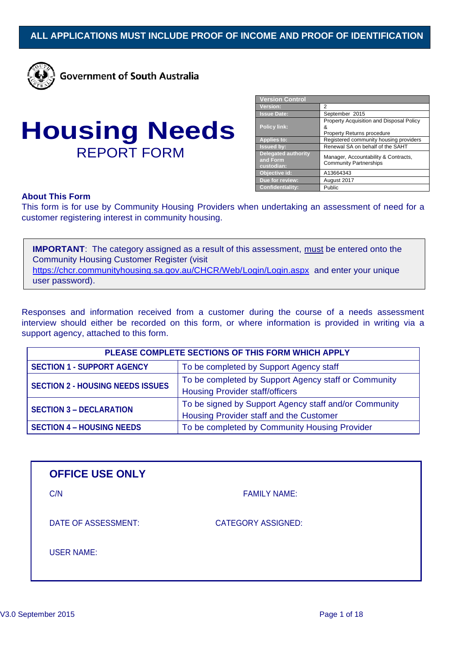

**Government of South Australia** 

| <b>Housing Needs</b> |  |
|----------------------|--|
| <b>REPORT FORM</b>   |  |

| <b>Version Control</b>                               |                                                                             |
|------------------------------------------------------|-----------------------------------------------------------------------------|
| <b>Version:</b>                                      | 2                                                                           |
| <b>Issue Date:</b>                                   | September 2015                                                              |
| <b>Policy link:</b>                                  | Property Acquisition and Disposal Policy<br>&<br>Property Returns procedure |
| <b>Applies to:</b>                                   | Registered community housing providers                                      |
| <b>Issued by:</b>                                    | Renewal SA on behalf of the SAHT                                            |
| <b>Delegated authority</b><br>and Form<br>custodian: | Manager, Accountability & Contracts,<br><b>Community Partnerships</b>       |
| Objective id:                                        | A13664343                                                                   |
| Due for review:                                      | August 2017                                                                 |
| <b>Confidentiality:</b>                              | Public                                                                      |

## **About This Form**

This form is for use by Community Housing Providers when undertaking an assessment of need for a customer registering interest in community housing.

**IMPORTANT:** The category assigned as a result of this assessment, must be entered onto the Community Housing Customer Register (visit <https://chcr.communityhousing.sa.gov.au/CHCR/Web/Login/Login.aspx> and enter your unique user password).

Responses and information received from a customer during the course of a needs assessment interview should either be recorded on this form, or where information is provided in writing via a support agency, attached to this form.

| PLEASE COMPLETE SECTIONS OF THIS FORM WHICH APPLY |                                                       |
|---------------------------------------------------|-------------------------------------------------------|
| <b>SECTION 1 - SUPPORT AGENCY</b>                 | To be completed by Support Agency staff               |
| <b>SECTION 2 - HOUSING NEEDS ISSUES</b>           | To be completed by Support Agency staff or Community  |
|                                                   | <b>Housing Provider staff/officers</b>                |
| <b>SECTION 3 - DECLARATION</b>                    | To be signed by Support Agency staff and/or Community |
|                                                   | Housing Provider staff and the Customer               |
| <b>SECTION 4 - HOUSING NEEDS</b>                  | To be completed by Community Housing Provider         |

| <b>OFFICE USE ONLY</b> |                           |  |
|------------------------|---------------------------|--|
| C/N                    | <b>FAMILY NAME:</b>       |  |
| DATE OF ASSESSMENT:    | <b>CATEGORY ASSIGNED:</b> |  |
| <b>USER NAME:</b>      |                           |  |
|                        |                           |  |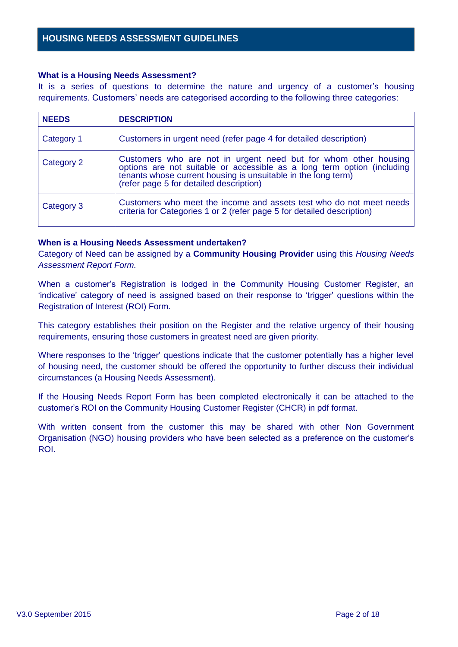## **What is a Housing Needs Assessment?**

It is a series of questions to determine the nature and urgency of a customer's housing requirements. Customers' needs are categorised according to the following three categories:

| <b>NEEDS</b> | <b>DESCRIPTION</b>                                                                                                                                                                                                                                     |
|--------------|--------------------------------------------------------------------------------------------------------------------------------------------------------------------------------------------------------------------------------------------------------|
| Category 1   | Customers in urgent need (refer page 4 for detailed description)                                                                                                                                                                                       |
| Category 2   | Customers who are not in urgent need but for whom other housing<br>options are not suitable or accessible as a long term option (including<br>tenants whose current housing is unsuitable in the long term)<br>(refer page 5 for detailed description) |
| Category 3   | Customers who meet the income and assets test who do not meet needs<br>criteria for Categories 1 or 2 (refer page 5 for detailed description)                                                                                                          |

# **When is a Housing Needs Assessment undertaken?**

Category of Need can be assigned by a **Community Housing Provider** using this *Housing Needs Assessment Report Form.*

When a customer's Registration is lodged in the Community Housing Customer Register, an 'indicative' category of need is assigned based on their response to 'trigger' questions within the Registration of Interest (ROI) Form.

This category establishes their position on the Register and the relative urgency of their housing requirements, ensuring those customers in greatest need are given priority.

Where responses to the 'trigger' questions indicate that the customer potentially has a higher level of housing need, the customer should be offered the opportunity to further discuss their individual circumstances (a Housing Needs Assessment).

If the Housing Needs Report Form has been completed electronically it can be attached to the customer's ROI on the Community Housing Customer Register (CHCR) in pdf format.

With written consent from the customer this may be shared with other Non Government Organisation (NGO) housing providers who have been selected as a preference on the customer's ROI.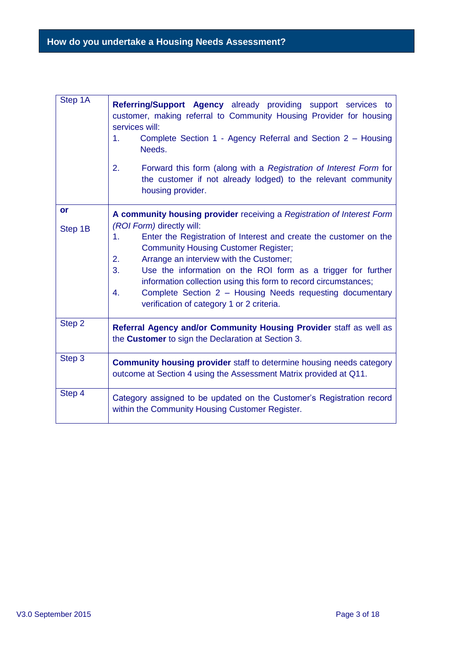| Step 1A   | Referring/Support Agency already providing support services to<br>customer, making referral to Community Housing Provider for housing<br>services will:<br>Complete Section 1 - Agency Referral and Section 2 - Housing<br>1.<br>Needs.<br>2.<br>Forward this form (along with a Registration of Interest Form for<br>the customer if not already lodged) to the relevant community<br>housing provider.                                                      |
|-----------|---------------------------------------------------------------------------------------------------------------------------------------------------------------------------------------------------------------------------------------------------------------------------------------------------------------------------------------------------------------------------------------------------------------------------------------------------------------|
| <b>or</b> | A community housing provider receiving a Registration of Interest Form                                                                                                                                                                                                                                                                                                                                                                                        |
| Step 1B   | (ROI Form) directly will:<br>Enter the Registration of Interest and create the customer on the<br>1.<br><b>Community Housing Customer Register;</b><br>Arrange an interview with the Customer;<br>2.<br>3.<br>Use the information on the ROI form as a trigger for further<br>information collection using this form to record circumstances;<br>Complete Section 2 - Housing Needs requesting documentary<br>4.<br>verification of category 1 or 2 criteria. |
| Step 2    | Referral Agency and/or Community Housing Provider staff as well as<br>the <b>Customer</b> to sign the Declaration at Section 3.                                                                                                                                                                                                                                                                                                                               |
| Step 3    | <b>Community housing provider</b> staff to determine housing needs category<br>outcome at Section 4 using the Assessment Matrix provided at Q11.                                                                                                                                                                                                                                                                                                              |
| Step 4    | Category assigned to be updated on the Customer's Registration record<br>within the Community Housing Customer Register.                                                                                                                                                                                                                                                                                                                                      |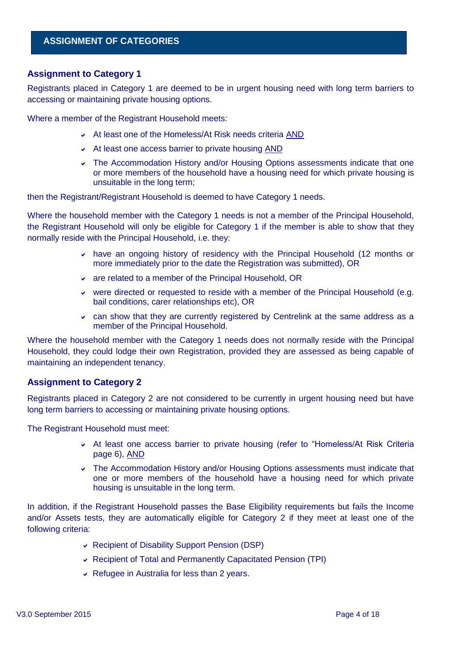# **ASSIGNMENT OF CATEGORIES**

# **Assignment to Category 1**

Registrants placed in Category 1 are deemed to be in urgent housing need with long term barriers to accessing or maintaining private housing options.

Where a member of the Registrant Household meets:

- At least one of the Homeless/At Risk needs criteria AND
- $\overline{\phantom{a}}$  At least one access barrier to private housing AND
- The Accommodation History and/or Housing Options assessments indicate that one or more members of the household have a housing need for which private housing is unsuitable in the long term;

then the Registrant/Registrant Household is deemed to have Category 1 needs.

Where the household member with the Category 1 needs is not a member of the Principal Household, the Registrant Household will only be eligible for Category 1 if the member is able to show that they normally reside with the Principal Household, i.e. they:

- have an ongoing history of residency with the Principal Household (12 months or more immediately prior to the date the Registration was submitted), OR
- $\vee$  are related to a member of the Principal Household, OR
- were directed or requested to reside with a member of the Principal Household (e.g. bail conditions, carer relationships etc), OR
- can show that they are currently registered by Centrelink at the same address as a member of the Principal Household.

Where the household member with the Category 1 needs does not normally reside with the Principal Household, they could lodge their own Registration, provided they are assessed as being capable of maintaining an independent tenancy.

## **Assignment to Category 2**

Registrants placed in Category 2 are not considered to be currently in urgent housing need but have long term barriers to accessing or maintaining private housing options.

The Registrant Household must meet:

- At least one access barrier to private housing (refer to "Homeless/At Risk Criteria page 6), AND
- The Accommodation History and/or Housing Options assessments must indicate that one or more members of the household have a housing need for which private housing is unsuitable in the long term.

In addition, if the Registrant Household passes the Base Eligibility requirements but fails the Income and/or Assets tests, they are automatically eligible for Category 2 if they meet at least one of the following criteria:

- Recipient of Disability Support Pension (DSP)
- Recipient of Total and Permanently Capacitated Pension (TPI)
- $\vee$  Refugee in Australia for less than 2 years.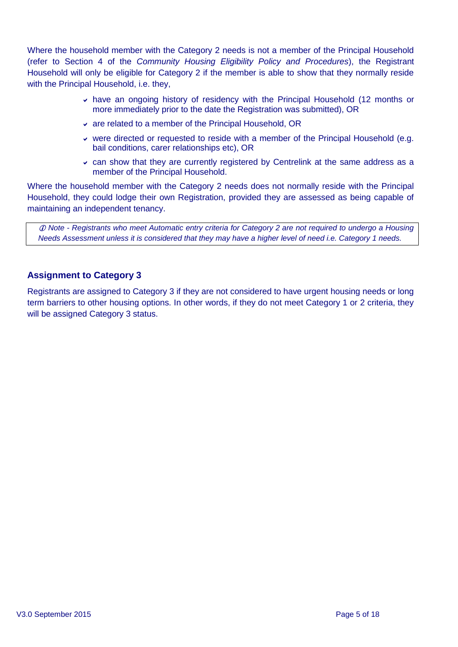Where the household member with the Category 2 needs is not a member of the Principal Household (refer to Section 4 of the *Community Housing Eligibility Policy and Procedures*), the Registrant Household will only be eligible for Category 2 if the member is able to show that they normally reside with the Principal Household, i.e. they,

- $\overline{\phantom{a}}$  have an ongoing history of residency with the Principal Household (12 months or more immediately prior to the date the Registration was submitted), OR
- are related to a member of the Principal Household, OR
- were directed or requested to reside with a member of the Principal Household (e.g. bail conditions, carer relationships etc), OR
- $\sim$  can show that they are currently registered by Centrelink at the same address as a member of the Principal Household.

Where the household member with the Category 2 needs does not normally reside with the Principal Household, they could lodge their own Registration, provided they are assessed as being capable of maintaining an independent tenancy.

 *Note - Registrants who meet Automatic entry criteria for Category 2 are not required to undergo a Housing Needs Assessment unless it is considered that they may have a higher level of need i.e. Category 1 needs.*

# **Assignment to Category 3**

Registrants are assigned to Category 3 if they are not considered to have urgent housing needs or long term barriers to other housing options. In other words, if they do not meet Category 1 or 2 criteria, they will be assigned Category 3 status.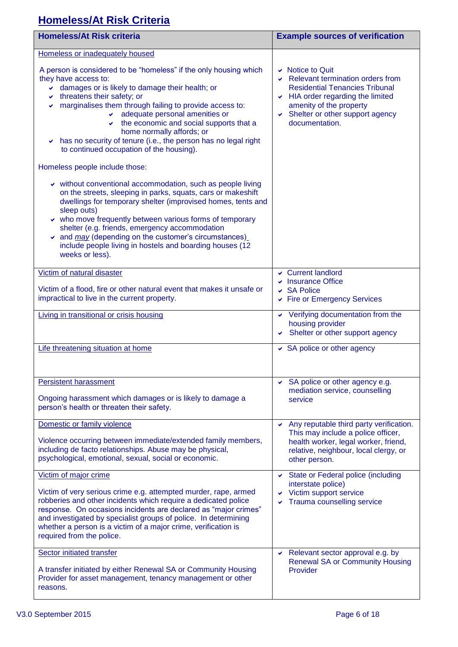# **Homeless/At Risk Criteria**

| <b>Homeless/At Risk criteria</b>                                                                                                                                                                                                                                                                                                                                                                                                                                                       | <b>Example sources of verification</b>                                                                                                                                                                                       |
|----------------------------------------------------------------------------------------------------------------------------------------------------------------------------------------------------------------------------------------------------------------------------------------------------------------------------------------------------------------------------------------------------------------------------------------------------------------------------------------|------------------------------------------------------------------------------------------------------------------------------------------------------------------------------------------------------------------------------|
| Homeless or inadequately housed                                                                                                                                                                                                                                                                                                                                                                                                                                                        |                                                                                                                                                                                                                              |
| A person is considered to be "homeless" if the only housing which<br>they have access to:<br>damages or is likely to damage their health; or<br>$\vee$ threatens their safety; or<br>marginalises them through failing to provide access to:<br>✔<br>adequate personal amenities or<br>$\cdot$ the economic and social supports that a<br>home normally affords; or<br>has no security of tenure (i.e., the person has no legal right<br>v<br>to continued occupation of the housing). | $\vee$ Notice to Quit<br>Relevant termination orders from<br><b>Residential Tenancies Tribunal</b><br>$\vee$ HIA order regarding the limited<br>amenity of the property<br>Shelter or other support agency<br>documentation. |
| Homeless people include those:                                                                                                                                                                                                                                                                                                                                                                                                                                                         |                                                                                                                                                                                                                              |
| v without conventional accommodation, such as people living<br>on the streets, sleeping in parks, squats, cars or makeshift<br>dwellings for temporary shelter (improvised homes, tents and<br>sleep outs)<br>who move frequently between various forms of temporary<br>shelter (e.g. friends, emergency accommodation<br>$\sim$ and $\frac{may}{(depending on the customer's circumstances)}$<br>include people living in hostels and boarding houses (12<br>weeks or less).          |                                                                                                                                                                                                                              |
| Victim of natural disaster                                                                                                                                                                                                                                                                                                                                                                                                                                                             | Current landlord<br>↓ Insurance Office                                                                                                                                                                                       |
| Victim of a flood, fire or other natural event that makes it unsafe or<br>impractical to live in the current property.                                                                                                                                                                                                                                                                                                                                                                 | $\vee$ SA Police<br>► Fire or Emergency Services                                                                                                                                                                             |
| Living in transitional or crisis housing                                                                                                                                                                                                                                                                                                                                                                                                                                               | ↓ Verifying documentation from the<br>housing provider<br>Shelter or other support agency                                                                                                                                    |
| Life threatening situation at home                                                                                                                                                                                                                                                                                                                                                                                                                                                     | ↓ SA police or other agency                                                                                                                                                                                                  |
| <b>Persistent harassment</b>                                                                                                                                                                                                                                                                                                                                                                                                                                                           | $\vee$ SA police or other agency e.g.<br>mediation service, counselling                                                                                                                                                      |
| Ongoing harassment which damages or is likely to damage a<br>person's health or threaten their safety.                                                                                                                                                                                                                                                                                                                                                                                 | service                                                                                                                                                                                                                      |
| Domestic or family violence                                                                                                                                                                                                                                                                                                                                                                                                                                                            | Any reputable third party verification.<br>v.<br>This may include a police officer,                                                                                                                                          |
| Violence occurring between immediate/extended family members,<br>including de facto relationships. Abuse may be physical,<br>psychological, emotional, sexual, social or economic.                                                                                                                                                                                                                                                                                                     | health worker, legal worker, friend,<br>relative, neighbour, local clergy, or<br>other person.                                                                                                                               |
| Victim of major crime                                                                                                                                                                                                                                                                                                                                                                                                                                                                  | State or Federal police (including<br>interstate police)                                                                                                                                                                     |
| Victim of very serious crime e.g. attempted murder, rape, armed<br>robberies and other incidents which require a dedicated police<br>response. On occasions incidents are declared as "major crimes"<br>and investigated by specialist groups of police. In determining<br>whether a person is a victim of a major crime, verification is<br>required from the police.                                                                                                                 | Victim support service<br>v<br>Trauma counselling service                                                                                                                                                                    |
| Sector initiated transfer                                                                                                                                                                                                                                                                                                                                                                                                                                                              | Relevant sector approval e.g. by<br>v<br><b>Renewal SA or Community Housing</b>                                                                                                                                              |
| A transfer initiated by either Renewal SA or Community Housing<br>Provider for asset management, tenancy management or other<br>reasons.                                                                                                                                                                                                                                                                                                                                               | Provider                                                                                                                                                                                                                     |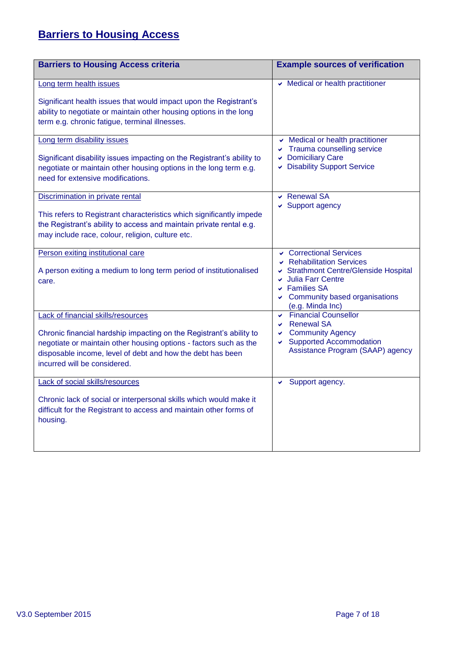# **Barriers to Housing Access**

| <b>Barriers to Housing Access criteria</b>                                                                                                                                                                                                                                          | <b>Example sources of verification</b>                                                                                                                                                                     |
|-------------------------------------------------------------------------------------------------------------------------------------------------------------------------------------------------------------------------------------------------------------------------------------|------------------------------------------------------------------------------------------------------------------------------------------------------------------------------------------------------------|
| Long term health issues<br>Significant health issues that would impact upon the Registrant's<br>ability to negotiate or maintain other housing options in the long<br>term e.g. chronic fatigue, terminal illnesses.                                                                | Medical or health practitioner                                                                                                                                                                             |
| Long term disability issues<br>Significant disability issues impacting on the Registrant's ability to<br>negotiate or maintain other housing options in the long term e.g.<br>need for extensive modifications.                                                                     | Medical or health practitioner<br>$\checkmark$<br>Trauma counselling service<br>$\checkmark$<br><b>Domiciliary Care</b><br><b>Disability Support Service</b><br>V                                          |
| Discrimination in private rental<br>This refers to Registrant characteristics which significantly impede<br>the Registrant's ability to access and maintain private rental e.g.<br>may include race, colour, religion, culture etc.                                                 | <b>Renewal SA</b><br>$\checkmark$<br>Support agency                                                                                                                                                        |
| Person exiting institutional care<br>A person exiting a medium to long term period of institutionalised<br>care.                                                                                                                                                                    | Correctional Services<br><b>Rehabilitation Services</b><br><b>Strathmont Centre/Glenside Hospital</b><br>Julia Farr Centre<br><b>Families SA</b><br>V<br>Community based organisations<br>(e.g. Minda Inc) |
| <b>Lack of financial skills/resources</b><br>Chronic financial hardship impacting on the Registrant's ability to<br>negotiate or maintain other housing options - factors such as the<br>disposable income, level of debt and how the debt has been<br>incurred will be considered. | Financial Counsellor<br><b>Renewal SA</b><br>$\checkmark$<br><b>Community Agency</b><br>v<br><b>Supported Accommodation</b><br>Assistance Program (SAAP) agency                                            |
| Lack of social skills/resources<br>Chronic lack of social or interpersonal skills which would make it<br>difficult for the Registrant to access and maintain other forms of<br>housing.                                                                                             | Support agency.<br>V                                                                                                                                                                                       |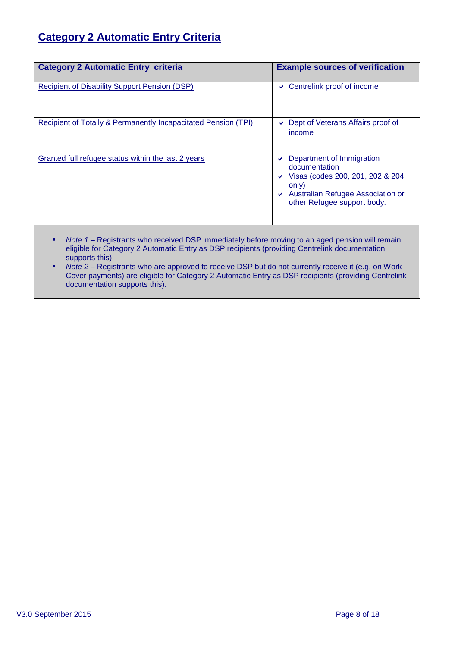# **Category 2 Automatic Entry Criteria**

| <b>Category 2 Automatic Entry criteria</b>                                                                                                                                                      | <b>Example sources of verification</b>                                                                                                                                     |
|-------------------------------------------------------------------------------------------------------------------------------------------------------------------------------------------------|----------------------------------------------------------------------------------------------------------------------------------------------------------------------------|
| Recipient of Disability Support Pension (DSP)                                                                                                                                                   | Centrelink proof of income<br>v.                                                                                                                                           |
| Recipient of Totally & Permanently Incapacitated Pension (TPI)                                                                                                                                  | Dept of Veterans Affairs proof of<br>income                                                                                                                                |
| Granted full refugee status within the last 2 years                                                                                                                                             | Department of Immigration<br>✔<br>documentation<br>Visas (codes 200, 201, 202 & 204<br>v<br>only)<br>Australian Refugee Association or<br>✔<br>other Refugee support body. |
| Note 1 – Registrants who received DSP immediately before moving to an aged pension will remain<br>eligible for Category 2 Automatic Entry as DSP recipients (providing Centrelink documentation |                                                                                                                                                                            |

supports this). ■ *Note 2* – Registrants who are approved to receive DSP but do not currently receive it (e.g. on Work Cover payments) are eligible for Category 2 Automatic Entry as DSP recipients (providing Centrelink documentation supports this).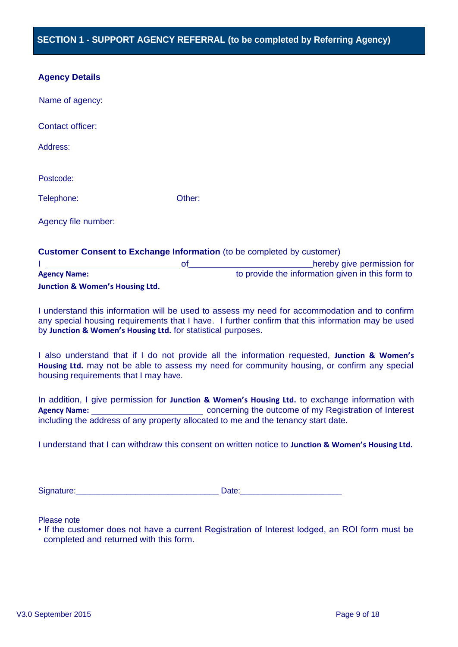| <b>Agency Details</b> |
|-----------------------|
|-----------------------|

| Name of agency:         |                                                                               |
|-------------------------|-------------------------------------------------------------------------------|
| <b>Contact officer:</b> |                                                                               |
| Address:                |                                                                               |
| Postcode:               |                                                                               |
| Telephone:              | Other:                                                                        |
| Agency file number:     |                                                                               |
|                         | <b>Customer Consent to Exchange Information</b> (to be completed by customer) |

|                                            | hereby give permission for                       |
|--------------------------------------------|--------------------------------------------------|
| <b>Agency Name:</b>                        | to provide the information given in this form to |
| <b>Junction &amp; Women's Housing Ltd.</b> |                                                  |

I understand this information will be used to assess my need for accommodation and to confirm any special housing requirements that I have. I further confirm that this information may be used by **Junction & Women's Housing Ltd.** for statistical purposes.

I also understand that if I do not provide all the information requested, **Junction & Women's Housing Ltd.** may not be able to assess my need for community housing, or confirm any special housing requirements that I may have.

In addition, I give permission for **Junction & Women's Housing Ltd.** to exchange information with Agency Name: <u>\_\_\_\_\_\_\_\_\_\_\_\_\_\_\_\_\_\_\_\_\_\_\_\_\_\_\_\_\_\_</u>\_ concerning the outcome of my Registration of Interest including the address of any property allocated to me and the tenancy start date.

I understand that I can withdraw this consent on written notice to **Junction & Women's Housing Ltd.**

Signature:\_\_\_\_\_\_\_\_\_\_\_\_\_\_\_\_\_\_\_\_\_\_\_\_\_\_\_\_\_\_\_ Date:\_\_\_\_\_\_\_\_\_\_\_\_\_\_\_\_\_\_\_\_\_\_\_

Please note

• If the customer does not have a current Registration of Interest lodged, an ROI form must be completed and returned with this form.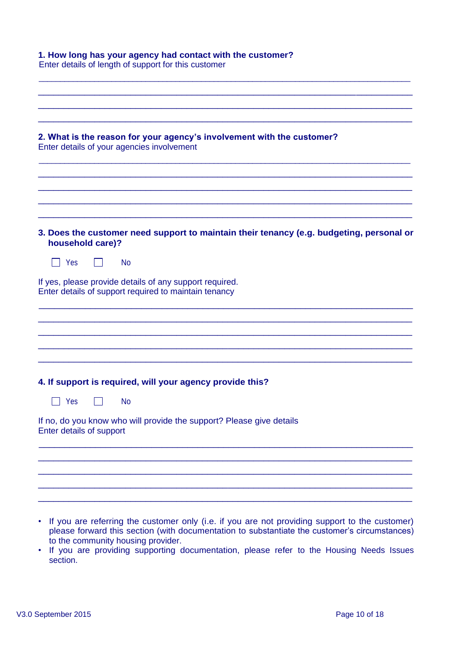| 1. How long has your agency had contact with the customer?<br>Enter details of length of support for this customer   |  |
|----------------------------------------------------------------------------------------------------------------------|--|
|                                                                                                                      |  |
|                                                                                                                      |  |
| 2. What is the reason for your agency's involvement with the customer?<br>Enter details of your agencies involvement |  |
|                                                                                                                      |  |
| 3. Does the customer need support to maintain their tenancy (e.g. budgeting, personal or<br>household care)?         |  |
| Yes<br><b>No</b>                                                                                                     |  |
| If yes, please provide details of any support required.<br>Enter details of support required to maintain tenancy     |  |
|                                                                                                                      |  |
|                                                                                                                      |  |
| 4. If support is required, will your agency provide this?                                                            |  |
| <b>No</b><br>Yes                                                                                                     |  |
| If no, do you know who will provide the support? Please give details<br>Enter details of support                     |  |
|                                                                                                                      |  |
|                                                                                                                      |  |
|                                                                                                                      |  |
| • If you are referring the customer only (i.e. if you are not providing support to the customer)                     |  |

- If you are referring the customer only (i.e. if you are not providing support to the customer) please forward this section (with documentation to substantiate the customer's circumstances) to the community housing provider.
- If you are providing supporting documentation, please refer to the Housing Needs Issues section.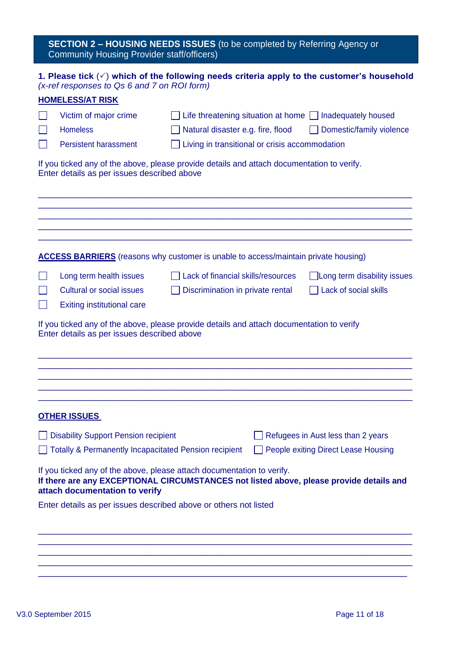# **SECTION 2 – HOUSING NEEDS ISSUES** (to be completed by Referring Agency or Community Housing Provider staff/officers)

# **1. Please tick**  $(\check{\phantom{x}})$  which of the following needs criteria apply to the customer's household *(x-ref responses to Qs 6 and 7 on ROI form)*

| <b>HOMELESS/AT RISK</b>                                                                                                                   |                                                |                                                                                         |
|-------------------------------------------------------------------------------------------------------------------------------------------|------------------------------------------------|-----------------------------------------------------------------------------------------|
| Victim of major crime                                                                                                                     |                                                | Life threatening situation at home $\Box$ Inadequately housed                           |
| <b>Homeless</b>                                                                                                                           | Natural disaster e.g. fire, flood              | Domestic/family violence                                                                |
| <b>Persistent harassment</b>                                                                                                              | Living in transitional or crisis accommodation |                                                                                         |
| If you ticked any of the above, please provide details and attach documentation to verify.<br>Enter details as per issues described above |                                                |                                                                                         |
| <b>ACCESS BARRIERS</b> (reasons why customer is unable to access/maintain private housing)                                                |                                                |                                                                                         |
| Long term health issues                                                                                                                   | Lack of financial skills/resources             | Long term disability issues                                                             |
| <b>Cultural or social issues</b>                                                                                                          | Discrimination in private rental               | Lack of social skills                                                                   |
| <b>Exiting institutional care</b>                                                                                                         |                                                |                                                                                         |
| If you ticked any of the above, please provide details and attach documentation to verify<br>Enter details as per issues described above  |                                                |                                                                                         |
| <b>OTHER ISSUES</b>                                                                                                                       |                                                |                                                                                         |
| <b>Disability Support Pension recipient</b>                                                                                               |                                                | Refugees in Aust less than 2 years                                                      |
| □ Totally & Permanently Incapacitated Pension recipient □ People exiting Direct Lease Housing                                             |                                                |                                                                                         |
| If you ticked any of the above, please attach documentation to verify.<br>attach documentation to verify                                  |                                                | If there are any EXCEPTIONAL CIRCUMSTANCES not listed above, please provide details and |
| Enter details as per issues described above or others not listed                                                                          |                                                |                                                                                         |
|                                                                                                                                           |                                                |                                                                                         |
|                                                                                                                                           |                                                |                                                                                         |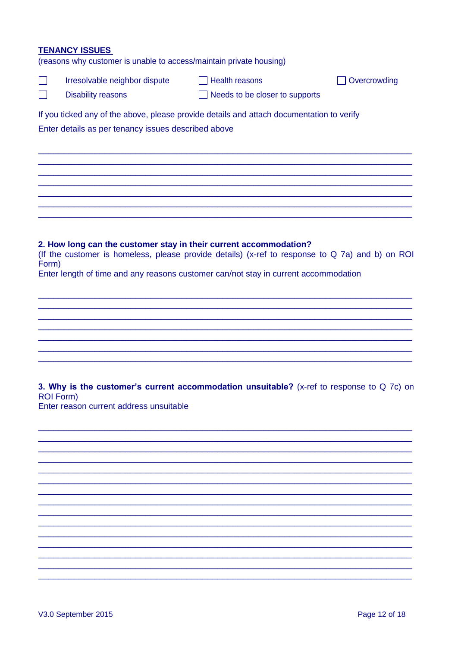# **TENANCY ISSUES**

(reasons why customer is unable to access/maintain private housing)

|                  | Irresolvable neighbor dispute                       | $\Box$ Health reasons                                                                                                                                                                  | Overcrowding |
|------------------|-----------------------------------------------------|----------------------------------------------------------------------------------------------------------------------------------------------------------------------------------------|--------------|
|                  | <b>Disability reasons</b>                           | Needs to be closer to supports                                                                                                                                                         |              |
|                  | Enter details as per tenancy issues described above | If you ticked any of the above, please provide details and attach documentation to verify                                                                                              |              |
|                  |                                                     | 2. How long can the customer stay in their current accommodation?                                                                                                                      |              |
| Form)            |                                                     | (If the customer is homeless, please provide details) (x-ref to response to Q 7a) and b) on ROI<br>Enter length of time and any reasons customer can/not stay in current accommodation |              |
|                  |                                                     | 3. Why is the customer's current accommodation unsuitable? (x-ref to response to Q 7c) on                                                                                              |              |
| <b>ROI Form)</b> | Enter reason current address unsuitable             |                                                                                                                                                                                        |              |
|                  |                                                     |                                                                                                                                                                                        |              |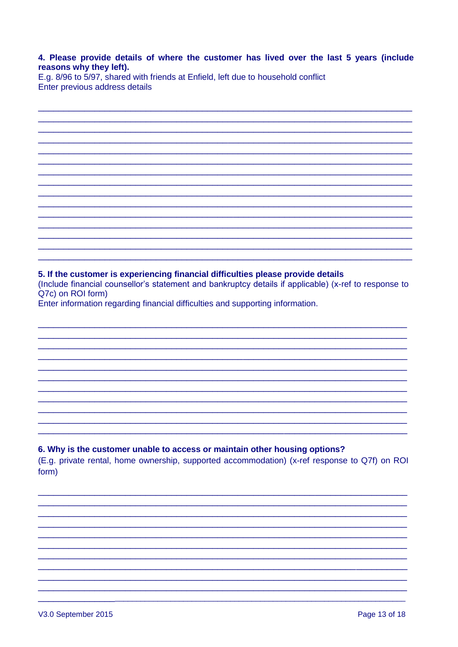## 4. Please provide details of where the customer has lived over the last 5 years (include reasons why they left).

E.g. 8/96 to 5/97, shared with friends at Enfield, left due to household conflict Enter previous address details

# 5. If the customer is experiencing financial difficulties please provide details

(Include financial counsellor's statement and bankruptcy details if applicable) (x-ref to response to Q7c) on ROI form)

Enter information regarding financial difficulties and supporting information.

# 6. Why is the customer unable to access or maintain other housing options?

(E.g. private rental, home ownership, supported accommodation) (x-ref response to Q7f) on ROI form)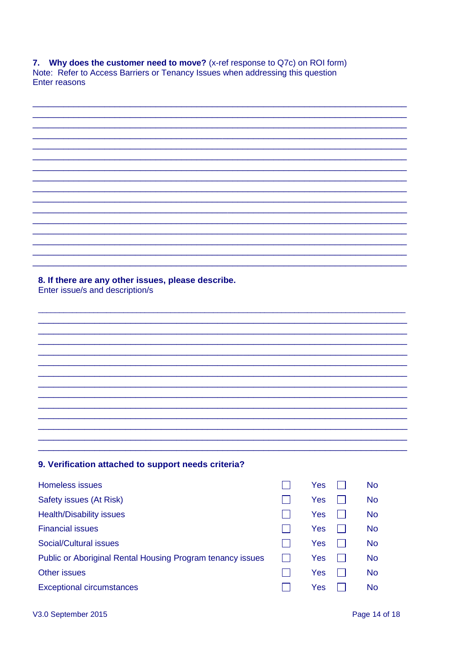7. Why does the customer need to move? (x-ref response to Q7c) on ROI form) Note: Refer to Access Barriers or Tenancy Issues when addressing this question Enter reasons

| 8. If there are any other issues, please describe.<br>Enter issue/s and description/s |          |           |
|---------------------------------------------------------------------------------------|----------|-----------|
|                                                                                       |          |           |
|                                                                                       |          |           |
|                                                                                       |          |           |
|                                                                                       |          |           |
|                                                                                       |          |           |
|                                                                                       |          |           |
|                                                                                       |          |           |
|                                                                                       |          |           |
|                                                                                       |          |           |
|                                                                                       |          |           |
|                                                                                       |          |           |
|                                                                                       |          |           |
| 9. Verification attached to support needs criteria?                                   |          |           |
| Homeless issues                                                                       | Yes<br>۰ | <b>No</b> |
| Safety issues (At Risk)                                                               | Yes      | <b>No</b> |
| Health/Disability issues                                                              | Yes      | No        |

**Financial issues** 

Other issues

i.

**Social/Cultural issues** 

**Exceptional circumstances** 

Public or Aboriginal Rental Housing Program tenancy issues

| Yes | $\mathsf{I}$ | No |
|-----|--------------|----|
| Yes | I I          | No |
| Yes | $\mathsf{L}$ | No |
| Yes | I.           | No |

 $\Box$ 

Yes

 $\Box$ 

 $\Box$ 

 $\Box$ 

 $\Box$ 

 $\Box$ 

**No**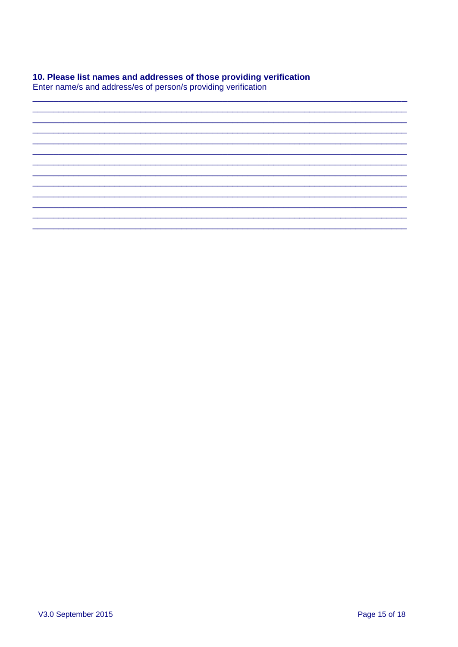# 10. Please list names and addresses of those providing verification

Enter name/s and address/es of person/s providing verification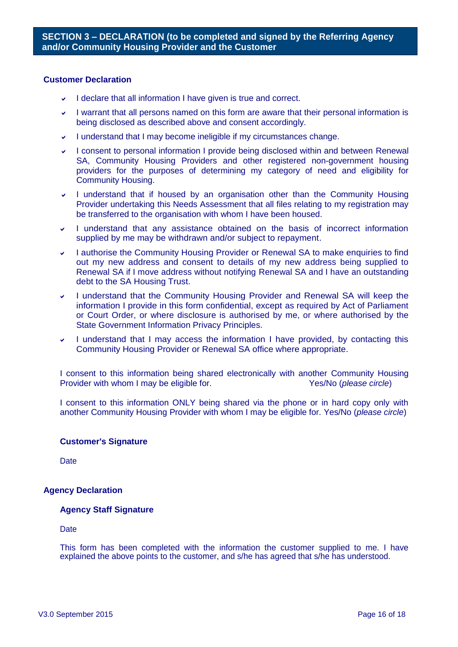## **Customer Declaration**

- $\vee$  I declare that all information I have given is true and correct.
- I warrant that all persons named on this form are aware that their personal information is being disclosed as described above and consent accordingly.
- I understand that I may become ineligible if my circumstances change.
- I consent to personal information I provide being disclosed within and between Renewal SA, Community Housing Providers and other registered non-government housing providers for the purposes of determining my category of need and eligibility for Community Housing.
- I understand that if housed by an organisation other than the Community Housing Provider undertaking this Needs Assessment that all files relating to my registration may be transferred to the organisation with whom I have been housed.
- I understand that any assistance obtained on the basis of incorrect information supplied by me may be withdrawn and/or subject to repayment.
- I authorise the Community Housing Provider or Renewal SA to make enquiries to find out my new address and consent to details of my new address being supplied to Renewal SA if I move address without notifying Renewal SA and I have an outstanding debt to the SA Housing Trust.
- I understand that the Community Housing Provider and Renewal SA will keep the information I provide in this form confidential, except as required by Act of Parliament or Court Order, or where disclosure is authorised by me, or where authorised by the State Government Information Privacy Principles.
- I understand that I may access the information I have provided, by contacting this Community Housing Provider or Renewal SA office where appropriate.

I consent to this information being shared electronically with another Community Housing Provider with whom I may be eligible for. Yes/No (*please circle*)

I consent to this information ONLY being shared via the phone or in hard copy only with another Community Housing Provider with whom I may be eligible for. Yes/No (*please circle*)

## **Customer's Signature**

**Date** 

## **Agency Declaration**

## **Agency Staff Signature**

**Date** 

This form has been completed with the information the customer supplied to me. I have explained the above points to the customer, and s/he has agreed that s/he has understood.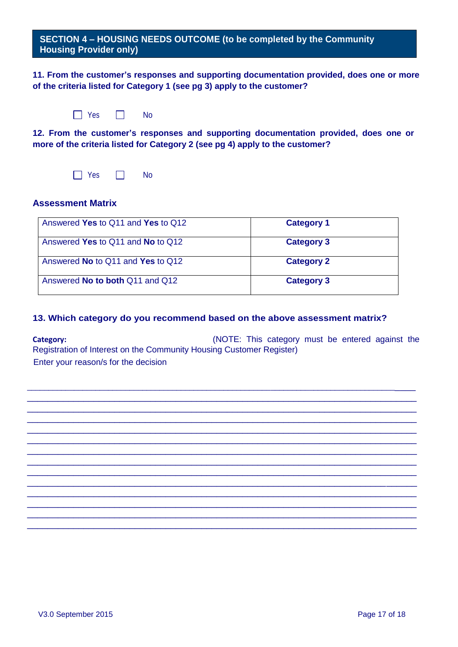**SECTION 4 – HOUSING NEEDS OUTCOME (to be completed by the Community Housing Provider only)**

**11. From the customer's responses and supporting documentation provided, does one or more of the criteria listed for Category 1 (see pg 3) apply to the customer?** 

| Yes | N٥ |
|-----|----|
|-----|----|

**12. From the customer's responses and supporting documentation provided, does one or more of the criteria listed for Category 2 (see pg 4) apply to the customer?**

 $\Box$  Yes  $\Box$  No

# **Assessment Matrix**

| Answered Yes to Q11 and Yes to Q12     | <b>Category 1</b> |
|----------------------------------------|-------------------|
| Answered Yes to Q11 and No to Q12      | <b>Category 3</b> |
| Answered No to Q11 and Yes to Q12      | <b>Category 2</b> |
| Answered <b>No to both</b> Q11 and Q12 | <b>Category 3</b> |

# **13. Which category do you recommend based on the above assessment matrix?**

**Category:** Category: Category must be entered against the Registration of Interest on the Community Housing Customer Register) Enter your reason/s for the decision

\_\_\_\_\_\_\_\_\_\_\_\_\_\_\_\_\_\_\_\_\_\_\_\_\_\_\_\_\_\_\_\_\_\_\_\_\_\_\_\_\_\_\_\_\_\_\_\_\_\_\_\_\_\_\_\_\_\_\_\_\_\_\_\_\_\_\_\_\_\_\_\_\_\_\_\_\_\_\_\_\_\_\_\_\_\_\_\_\_\_ \_\_\_\_\_\_\_\_\_\_\_\_\_\_\_\_\_\_\_\_\_\_\_\_\_\_\_\_\_\_\_\_\_\_\_\_\_\_\_\_\_\_\_\_\_\_\_\_\_\_\_\_\_\_\_\_\_\_\_\_\_\_\_\_\_\_\_\_\_\_\_\_\_\_\_\_ \_\_\_\_\_\_\_\_\_\_\_\_\_\_\_\_\_\_\_\_\_\_\_\_\_\_\_\_\_\_\_\_\_\_\_\_\_\_\_\_\_\_\_\_\_\_\_\_\_\_\_\_\_\_\_\_\_\_\_\_\_\_\_\_\_\_\_\_\_\_\_\_\_\_\_\_ \_\_\_\_\_\_\_\_\_\_\_\_\_\_\_\_\_\_\_\_\_\_\_\_\_\_\_\_\_\_\_\_\_\_\_\_\_\_\_\_\_\_\_\_\_\_\_\_\_\_\_\_\_\_\_\_\_\_\_\_\_\_\_\_\_\_\_\_\_\_\_\_\_\_\_\_ \_\_\_\_\_\_\_\_\_\_\_\_\_\_\_\_\_\_\_\_\_\_\_\_\_\_\_\_\_\_\_\_\_\_\_\_\_\_\_\_\_\_\_\_\_\_\_\_\_\_\_\_\_\_\_\_\_\_\_\_\_\_\_\_\_\_\_\_\_\_\_\_\_\_\_\_ \_\_\_\_\_\_\_\_\_\_\_\_\_\_\_\_\_\_\_\_\_\_\_\_\_\_\_\_\_\_\_\_\_\_\_\_\_\_\_\_\_\_\_\_\_\_\_\_\_\_\_\_\_\_\_\_\_\_\_\_\_\_\_\_\_\_\_\_\_\_\_\_\_\_\_\_ \_\_\_\_\_\_\_\_\_\_\_\_\_\_\_\_\_\_\_\_\_\_\_\_\_\_\_\_\_\_\_\_\_\_\_\_\_\_\_\_\_\_\_\_\_\_\_\_\_\_\_\_\_\_\_\_\_\_\_\_\_\_\_\_\_\_\_\_\_\_\_\_\_\_\_\_ \_\_\_\_\_\_\_\_\_\_\_\_\_\_\_\_\_\_\_\_\_\_\_\_\_\_\_\_\_\_\_\_\_\_\_\_\_\_\_\_\_\_\_\_\_\_\_\_\_\_\_\_\_\_\_\_\_\_\_\_\_\_\_\_\_\_\_\_\_\_\_\_\_\_\_\_ \_\_\_\_\_\_\_\_\_\_\_\_\_\_\_\_\_\_\_\_\_\_\_\_\_\_\_\_\_\_\_\_\_\_\_\_\_\_\_\_\_\_\_\_\_\_\_\_\_\_\_\_\_\_\_\_\_\_\_\_\_\_\_\_\_\_\_\_\_\_\_\_\_\_\_\_ \_\_\_\_\_\_\_\_\_\_\_\_\_\_\_\_\_\_\_\_\_\_\_\_\_\_\_\_\_\_\_\_\_\_\_\_\_\_\_\_\_\_\_\_\_\_\_\_\_\_\_\_\_\_\_\_\_\_\_\_\_\_\_\_\_\_\_\_\_\_\_\_\_\_\_\_ \_\_\_\_\_\_\_\_\_\_\_\_\_\_\_\_\_\_\_\_\_\_\_\_\_\_\_\_\_\_\_\_\_\_\_\_\_\_\_\_\_\_\_\_\_\_\_\_\_\_\_\_\_\_\_\_\_\_\_\_\_\_\_\_\_\_\_\_\_\_\_\_\_\_\_\_ \_\_\_\_\_\_\_\_\_\_\_\_\_\_\_\_\_\_\_\_\_\_\_\_\_\_\_\_\_\_\_\_\_\_\_\_\_\_\_\_\_\_\_\_\_\_\_\_\_\_\_\_\_\_\_\_\_\_\_\_\_\_\_\_\_\_\_\_\_\_\_\_\_\_\_\_ \_\_\_\_\_\_\_\_\_\_\_\_\_\_\_\_\_\_\_\_\_\_\_\_\_\_\_\_\_\_\_\_\_\_\_\_\_\_\_\_\_\_\_\_\_\_\_\_\_\_\_\_\_\_\_\_\_\_\_\_\_\_\_\_\_\_\_\_\_\_\_\_\_\_\_\_ \_\_\_\_\_\_\_\_\_\_\_\_\_\_\_\_\_\_\_\_\_\_\_\_\_\_\_\_\_\_\_\_\_\_\_\_\_\_\_\_\_\_\_\_\_\_\_\_\_\_\_\_\_\_\_\_\_\_\_\_\_\_\_\_\_\_\_\_\_\_\_\_\_\_\_\_